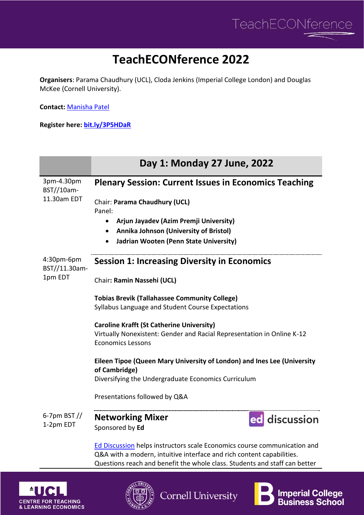

## **TeachECONference 2022**

**Organisers**: Parama Chaudhury (UCL), Cloda Jenkins (Imperial College London) and Douglas McKee (Cornell University).

**Contact:** [Manisha Patel](mailto:uctpmbp@ucl.ac.uk)

**Register here: [bit.ly/3P5HDaR](https://www.eventbrite.co.uk/e/teacheconference-2022-tickets-335371985637)**

|                                         | Day 1: Monday 27 June, 2022                                                                                                                         |
|-----------------------------------------|-----------------------------------------------------------------------------------------------------------------------------------------------------|
| 3pm-4.30pm<br>BST//10am-<br>11.30am EDT | <b>Plenary Session: Current Issues in Economics Teaching</b>                                                                                        |
|                                         | Chair: Parama Chaudhury (UCL)<br>Panel:                                                                                                             |
|                                         | Arjun Jayadev (Azim Premji University)<br>$\bullet$                                                                                                 |
|                                         | Annika Johnson (University of Bristol)<br>$\bullet$                                                                                                 |
|                                         | Jadrian Wooten (Penn State University)<br>٠                                                                                                         |
| 4:30pm-6pm<br>BST//11.30am-<br>1pm EDT  | <b>Session 1: Increasing Diversity in Economics</b>                                                                                                 |
|                                         | Chair: Ramin Nassehi (UCL)                                                                                                                          |
|                                         | <b>Tobias Brevik (Tallahassee Community College)</b>                                                                                                |
|                                         | Syllabus Language and Student Course Expectations                                                                                                   |
|                                         | <b>Caroline Krafft (St Catherine University)</b>                                                                                                    |
|                                         | Virtually Nonexistent: Gender and Racial Representation in Online K-12<br><b>Economics Lessons</b>                                                  |
|                                         |                                                                                                                                                     |
|                                         | Eileen Tipoe (Queen Mary University of London) and Ines Lee (University<br>of Cambridge)                                                            |
|                                         | Diversifying the Undergraduate Economics Curriculum                                                                                                 |
|                                         | Presentations followed by Q&A                                                                                                                       |
| 6-7pm BST $\frac{1}{2}$<br>1-2pm EDT    | <b>Networking Mixer</b><br>ed discussion                                                                                                            |
|                                         | Sponsored by Ed                                                                                                                                     |
|                                         | Ed Discussion helps instructors scale Economics course communication and                                                                            |
|                                         | Q&A with a modern, intuitive interface and rich content capabilities.<br>Questions reach and benefit the whole class. Students and staff can better |

**Cornell University** 





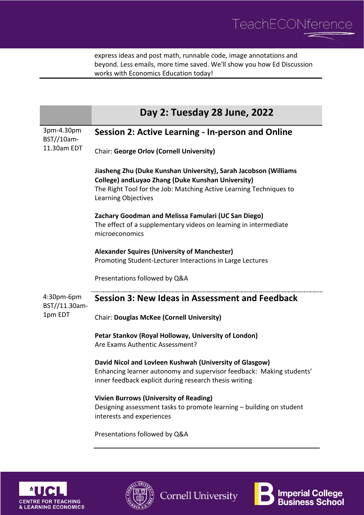

express ideas and post math, runnable code, image annotations and beyond. Less emails, more time saved. We'll show you how Ed Discussion works with Economics Education today!

|                                         | Day 2: Tuesday 28 June, 2022                                                                                                                                                                                        |
|-----------------------------------------|---------------------------------------------------------------------------------------------------------------------------------------------------------------------------------------------------------------------|
| 3pm-4.30pm<br>BST//10am-<br>11.30am EDT | Session 2: Active Learning - In-person and Online                                                                                                                                                                   |
|                                         | <b>Chair: George Orlov (Cornell University)</b>                                                                                                                                                                     |
|                                         | Jiasheng Zhu (Duke Kunshan University), Sarah Jacobson (Williams<br>College) and Luyao Zhang (Duke Kunshan University)<br>The Right Tool for the Job: Matching Active Learning Techniques to<br>Learning Objectives |
|                                         | Zachary Goodman and Melissa Famulari (UC San Diego)<br>The effect of a supplementary videos on learning in intermediate<br>microeconomics                                                                           |
|                                         | <b>Alexander Squires (University of Manchester)</b><br>Promoting Student-Lecturer Interactions in Large Lectures                                                                                                    |
|                                         | Presentations followed by Q&A                                                                                                                                                                                       |
| 4:30pm-6pm<br>BST//11.30am-<br>1pm EDT  | Session 3: New Ideas in Assessment and Feedback                                                                                                                                                                     |
|                                         | <b>Chair: Douglas McKee (Cornell University)</b>                                                                                                                                                                    |
|                                         | Petar Stankov (Royal Holloway, University of London)<br>Are Exams Authentic Assessment?                                                                                                                             |
|                                         | David Nicol and Lovleen Kushwah (University of Glasgow)<br>Enhancing learner autonomy and supervisor feedback: Making students'<br>inner feedback explicit during research thesis writing                           |
|                                         | <b>Vivien Burrows (University of Reading)</b><br>Designing assessment tasks to promote learning - building on student<br>interests and experiences                                                                  |
|                                         | Presentations followed by Q&A                                                                                                                                                                                       |







**Cornell University**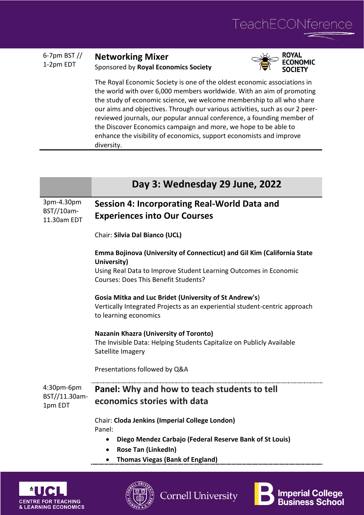

**Imperial College<br>Business School** 

| 6-7pm BST $\frac{1}{2}$ | <b>Networking Mixer</b>              |
|-------------------------|--------------------------------------|
| 1-2pm EDT               | Sponsored by Royal Economics Society |
|                         |                                      |



The Royal Economic Society is one of the oldest economic associations in the world with over 6,000 members worldwide. With an aim of promoting the study of economic science, we welcome membership to all who share our aims and objectives. Through our various activities, such as our 2 peerreviewed journals, our popular annual conference, a founding member of the Discover Economics campaign and more, we hope to be able to enhance the visibility of economics, support economists and improve diversity.

|                                         | Day 3: Wednesday 29 June, 2022                                                                                                                                                                     |
|-----------------------------------------|----------------------------------------------------------------------------------------------------------------------------------------------------------------------------------------------------|
| 3pm-4.30pm<br>BST//10am-<br>11.30am EDT | Session 4: Incorporating Real-World Data and<br><b>Experiences into Our Courses</b>                                                                                                                |
|                                         | Chair: Silvia Dal Bianco (UCL)                                                                                                                                                                     |
|                                         | Emma Bojinova (University of Connecticut) and Gil Kim (California State<br>University)<br>Using Real Data to Improve Student Learning Outcomes in Economic<br>Courses: Does This Benefit Students? |
|                                         | Gosia Mitka and Luc Bridet (University of St Andrew's)<br>Vertically Integrated Projects as an experiential student-centric approach<br>to learning economics                                      |
|                                         | <b>Nazanin Khazra (University of Toronto)</b><br>The Invisible Data: Helping Students Capitalize on Publicly Available<br>Satellite Imagery                                                        |
|                                         | Presentations followed by Q&A                                                                                                                                                                      |
| 4:30pm-6pm<br>BST//11.30am-<br>1pm EDT  | Panel: Why and how to teach students to tell<br>economics stories with data                                                                                                                        |
|                                         | Chair: Cloda Jenkins (Imperial College London)<br>Panel:<br>Diego Mendez Carbajo (Federal Reserve Bank of St Louis)<br>$\bullet$<br><b>Rose Tan (LinkedIn)</b><br>$\bullet$                        |
|                                         | <b>Thomas Viegas (Bank of England)</b>                                                                                                                                                             |

**Cornell University** 

**CENTRE FOR TEACHING & LEARNING ECONOMICS**